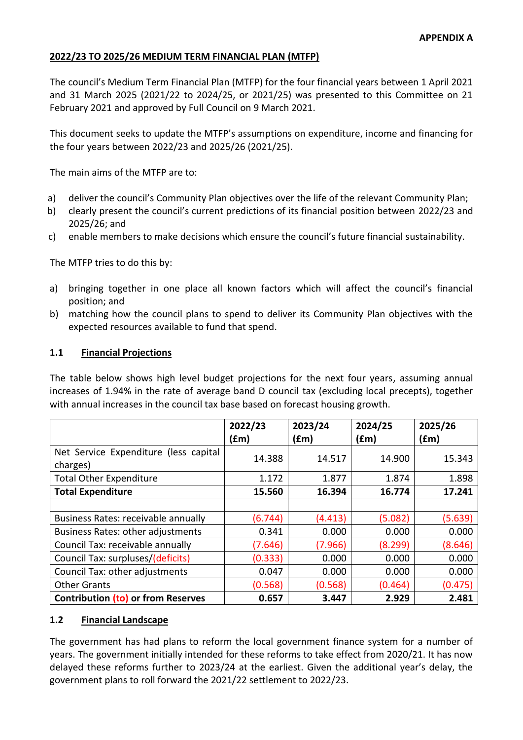### **2022/23 TO 2025/26 MEDIUM TERM FINANCIAL PLAN (MTFP)**

The council's Medium Term Financial Plan (MTFP) for the four financial years between 1 April 2021 and 31 March 2025 (2021/22 to 2024/25, or 2021/25) was presented to this Committee on 21 February 2021 and approved by Full Council on 9 March 2021.

This document seeks to update the MTFP's assumptions on expenditure, income and financing for the four years between 2022/23 and 2025/26 (2021/25).

The main aims of the MTFP are to:

- a) deliver the council's Community Plan objectives over the life of the relevant Community Plan;
- b) clearly present the council's current predictions of its financial position between 2022/23 and 2025/26; and
- c) enable members to make decisions which ensure the council's future financial sustainability.

The MTFP tries to do this by:

- a) bringing together in one place all known factors which will affect the council's financial position; and
- b) matching how the council plans to spend to deliver its Community Plan objectives with the expected resources available to fund that spend.

#### **1.1 Financial Projections**

The table below shows high level budget projections for the next four years, assuming annual increases of 1.94% in the rate of average band D council tax (excluding local precepts), together with annual increases in the council tax base based on forecast housing growth.

|                                                   | 2022/23<br>(£m) | 2023/24<br>(£m) | 2024/25<br>(fm) | 2025/26<br>(£m) |
|---------------------------------------------------|-----------------|-----------------|-----------------|-----------------|
| Net Service Expenditure (less capital<br>charges) | 14.388          | 14.517          | 14.900          | 15.343          |
| <b>Total Other Expenditure</b>                    | 1.172           | 1.877           | 1.874           | 1.898           |
| <b>Total Expenditure</b>                          | 15.560          | 16.394          | 16.774          | 17.241          |
|                                                   |                 |                 |                 |                 |
| Business Rates: receivable annually               | (6.744)         | (4.413)         | (5.082)         | (5.639)         |
| <b>Business Rates: other adjustments</b>          | 0.341           | 0.000           | 0.000           | 0.000           |
| Council Tax: receivable annually                  | (7.646)         | (7.966)         | (8.299)         | (8.646)         |
| Council Tax: surpluses/(deficits)                 | (0.333)         | 0.000           | 0.000           | 0.000           |
| Council Tax: other adjustments                    | 0.047           | 0.000           | 0.000           | 0.000           |
| <b>Other Grants</b>                               | (0.568)         | (0.568)         | (0.464)         | (0.475)         |
| <b>Contribution (to) or from Reserves</b>         | 0.657           | 3.447           | 2.929           | 2.481           |

### **1.2 Financial Landscape**

The government has had plans to reform the local government finance system for a number of years. The government initially intended for these reforms to take effect from 2020/21. It has now delayed these reforms further to 2023/24 at the earliest. Given the additional year's delay, the government plans to roll forward the 2021/22 settlement to 2022/23.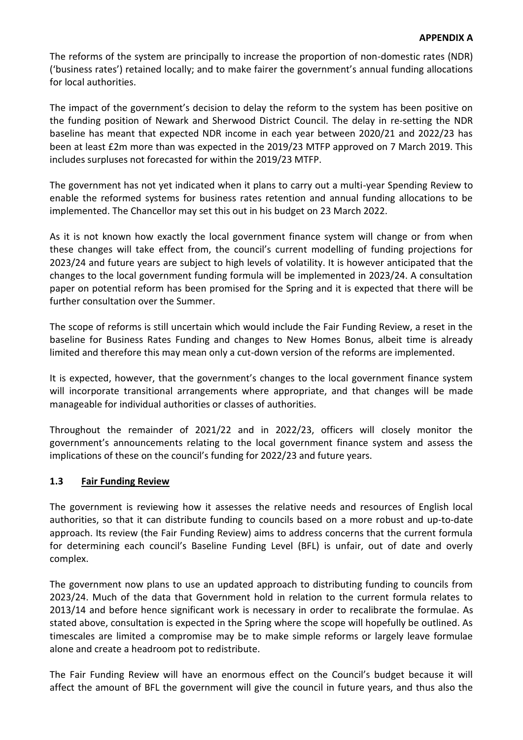The reforms of the system are principally to increase the proportion of non-domestic rates (NDR) ('business rates') retained locally; and to make fairer the government's annual funding allocations for local authorities.

The impact of the government's decision to delay the reform to the system has been positive on the funding position of Newark and Sherwood District Council. The delay in re-setting the NDR baseline has meant that expected NDR income in each year between 2020/21 and 2022/23 has been at least £2m more than was expected in the 2019/23 MTFP approved on 7 March 2019. This includes surpluses not forecasted for within the 2019/23 MTFP.

The government has not yet indicated when it plans to carry out a multi-year Spending Review to enable the reformed systems for business rates retention and annual funding allocations to be implemented. The Chancellor may set this out in his budget on 23 March 2022.

As it is not known how exactly the local government finance system will change or from when these changes will take effect from, the council's current modelling of funding projections for 2023/24 and future years are subject to high levels of volatility. It is however anticipated that the changes to the local government funding formula will be implemented in 2023/24. A consultation paper on potential reform has been promised for the Spring and it is expected that there will be further consultation over the Summer.

The scope of reforms is still uncertain which would include the Fair Funding Review, a reset in the baseline for Business Rates Funding and changes to New Homes Bonus, albeit time is already limited and therefore this may mean only a cut-down version of the reforms are implemented.

It is expected, however, that the government's changes to the local government finance system will incorporate transitional arrangements where appropriate, and that changes will be made manageable for individual authorities or classes of authorities.

Throughout the remainder of 2021/22 and in 2022/23, officers will closely monitor the government's announcements relating to the local government finance system and assess the implications of these on the council's funding for 2022/23 and future years.

# **1.3 Fair Funding Review**

The government is reviewing how it assesses the relative needs and resources of English local authorities, so that it can distribute funding to councils based on a more robust and up-to-date approach. Its review (the Fair Funding Review) aims to address concerns that the current formula for determining each council's Baseline Funding Level (BFL) is unfair, out of date and overly complex.

The government now plans to use an updated approach to distributing funding to councils from 2023/24. Much of the data that Government hold in relation to the current formula relates to 2013/14 and before hence significant work is necessary in order to recalibrate the formulae. As stated above, consultation is expected in the Spring where the scope will hopefully be outlined. As timescales are limited a compromise may be to make simple reforms or largely leave formulae alone and create a headroom pot to redistribute.

The Fair Funding Review will have an enormous effect on the Council's budget because it will affect the amount of BFL the government will give the council in future years, and thus also the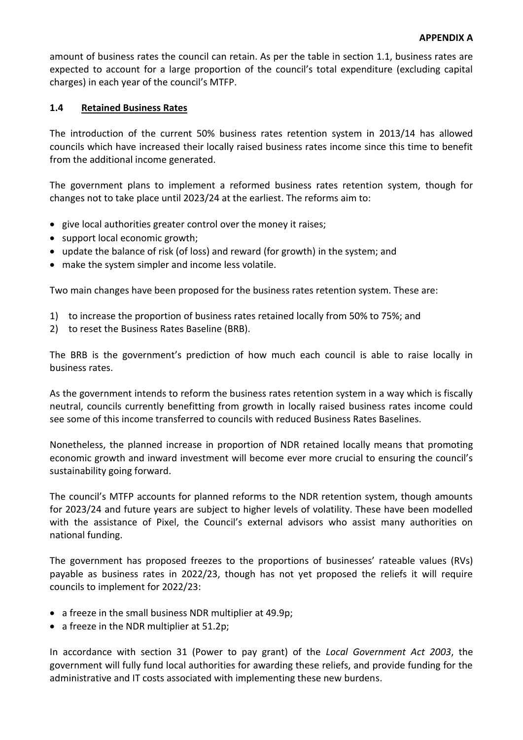amount of business rates the council can retain. As per the table in section 1.1, business rates are expected to account for a large proportion of the council's total expenditure (excluding capital charges) in each year of the council's MTFP.

### **1.4 Retained Business Rates**

The introduction of the current 50% business rates retention system in 2013/14 has allowed councils which have increased their locally raised business rates income since this time to benefit from the additional income generated.

The government plans to implement a reformed business rates retention system, though for changes not to take place until 2023/24 at the earliest. The reforms aim to:

- give local authorities greater control over the money it raises;
- support local economic growth;
- update the balance of risk (of loss) and reward (for growth) in the system; and
- make the system simpler and income less volatile.

Two main changes have been proposed for the business rates retention system. These are:

- 1) to increase the proportion of business rates retained locally from 50% to 75%; and
- 2) to reset the Business Rates Baseline (BRB).

The BRB is the government's prediction of how much each council is able to raise locally in business rates.

As the government intends to reform the business rates retention system in a way which is fiscally neutral, councils currently benefitting from growth in locally raised business rates income could see some of this income transferred to councils with reduced Business Rates Baselines.

Nonetheless, the planned increase in proportion of NDR retained locally means that promoting economic growth and inward investment will become ever more crucial to ensuring the council's sustainability going forward.

The council's MTFP accounts for planned reforms to the NDR retention system, though amounts for 2023/24 and future years are subject to higher levels of volatility. These have been modelled with the assistance of Pixel, the Council's external advisors who assist many authorities on national funding.

The government has proposed freezes to the proportions of businesses' rateable values (RVs) payable as business rates in 2022/23, though has not yet proposed the reliefs it will require councils to implement for 2022/23:

- a freeze in the small business NDR multiplier at 49.9p;
- a freeze in the NDR multiplier at 51.2p;

In accordance with section 31 (Power to pay grant) of the *Local Government Act 2003*, the government will fully fund local authorities for awarding these reliefs, and provide funding for the administrative and IT costs associated with implementing these new burdens.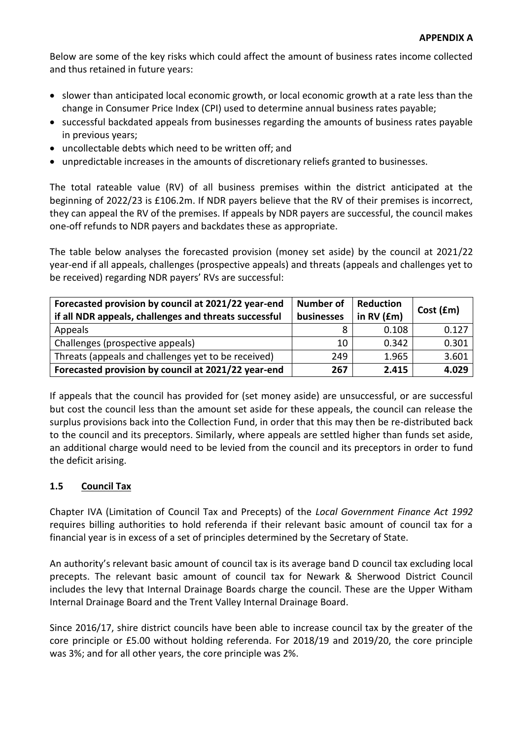Below are some of the key risks which could affect the amount of business rates income collected and thus retained in future years:

- slower than anticipated local economic growth, or local economic growth at a rate less than the change in Consumer Price Index (CPI) used to determine annual business rates payable;
- successful backdated appeals from businesses regarding the amounts of business rates payable in previous years;
- uncollectable debts which need to be written off; and
- unpredictable increases in the amounts of discretionary reliefs granted to businesses.

The total rateable value (RV) of all business premises within the district anticipated at the beginning of 2022/23 is £106.2m. If NDR payers believe that the RV of their premises is incorrect, they can appeal the RV of the premises. If appeals by NDR payers are successful, the council makes one-off refunds to NDR payers and backdates these as appropriate.

The table below analyses the forecasted provision (money set aside) by the council at 2021/22 year-end if all appeals, challenges (prospective appeals) and threats (appeals and challenges yet to be received) regarding NDR payers' RVs are successful:

| Forecasted provision by council at 2021/22 year-end<br>if all NDR appeals, challenges and threats successful | <b>Number of</b><br>businesses | <b>Reduction</b><br>in $RV$ ( $Em$ ) | Cost (fm) |
|--------------------------------------------------------------------------------------------------------------|--------------------------------|--------------------------------------|-----------|
| Appeals                                                                                                      | 8                              | 0.108                                | 0.127     |
| Challenges (prospective appeals)                                                                             | 10                             | 0.342                                | 0.301     |
| Threats (appeals and challenges yet to be received)                                                          | 249                            | 1.965                                | 3.601     |
| Forecasted provision by council at 2021/22 year-end                                                          | 267                            | 2.415                                | 4.029     |

If appeals that the council has provided for (set money aside) are unsuccessful, or are successful but cost the council less than the amount set aside for these appeals, the council can release the surplus provisions back into the Collection Fund, in order that this may then be re-distributed back to the council and its preceptors. Similarly, where appeals are settled higher than funds set aside, an additional charge would need to be levied from the council and its preceptors in order to fund the deficit arising.

# **1.5 Council Tax**

Chapter IVA (Limitation of Council Tax and Precepts) of the *Local Government Finance Act 1992* requires billing authorities to hold referenda if their relevant basic amount of council tax for a financial year is in excess of a set of principles determined by the Secretary of State.

An authority's relevant basic amount of council tax is its average band D council tax excluding local precepts. The relevant basic amount of council tax for Newark & Sherwood District Council includes the levy that Internal Drainage Boards charge the council. These are the Upper Witham Internal Drainage Board and the Trent Valley Internal Drainage Board.

Since 2016/17, shire district councils have been able to increase council tax by the greater of the core principle or £5.00 without holding referenda. For 2018/19 and 2019/20, the core principle was 3%; and for all other years, the core principle was 2%.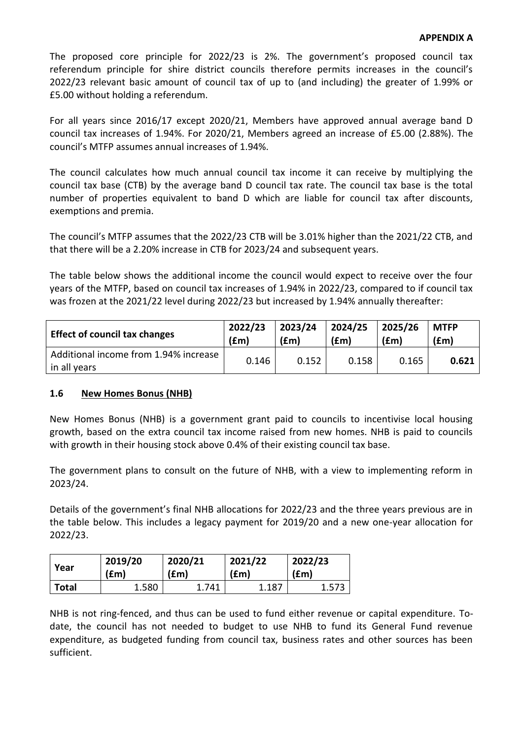The proposed core principle for 2022/23 is 2%. The government's proposed council tax referendum principle for shire district councils therefore permits increases in the council's 2022/23 relevant basic amount of council tax of up to (and including) the greater of 1.99% or £5.00 without holding a referendum.

For all years since 2016/17 except 2020/21, Members have approved annual average band D council tax increases of 1.94%. For 2020/21, Members agreed an increase of £5.00 (2.88%). The council's MTFP assumes annual increases of 1.94%.

The council calculates how much annual council tax income it can receive by multiplying the council tax base (CTB) by the average band D council tax rate. The council tax base is the total number of properties equivalent to band D which are liable for council tax after discounts, exemptions and premia.

The council's MTFP assumes that the 2022/23 CTB will be 3.01% higher than the 2021/22 CTB, and that there will be a 2.20% increase in CTB for 2023/24 and subsequent years.

The table below shows the additional income the council would expect to receive over the four years of the MTFP, based on council tax increases of 1.94% in 2022/23, compared to if council tax was frozen at the 2021/22 level during 2022/23 but increased by 1.94% annually thereafter:

| <b>Effect of council tax changes</b>                  | 2022/23 | 2023/24 | 2024/25 | 2025/26 | <b>MTFP</b> |
|-------------------------------------------------------|---------|---------|---------|---------|-------------|
|                                                       | (fm)    | f(m)    | (fm)    | (fm)    | f(m)        |
| Additional income from 1.94% increase<br>in all years | 0.146   | 0.152   | 0.158   | 0.165   | 0.621       |

# **1.6 New Homes Bonus (NHB)**

New Homes Bonus (NHB) is a government grant paid to councils to incentivise local housing growth, based on the extra council tax income raised from new homes. NHB is paid to councils with growth in their housing stock above 0.4% of their existing council tax base.

The government plans to consult on the future of NHB, with a view to implementing reform in 2023/24.

Details of the government's final NHB allocations for 2022/23 and the three years previous are in the table below. This includes a legacy payment for 2019/20 and a new one-year allocation for 2022/23.

| Year         | 2019/20 | 2020/21 | 2021/22       | 2022/23 |
|--------------|---------|---------|---------------|---------|
|              | (£m)    | (£m)    | $(\text{fm})$ | (£m)    |
| <b>Total</b> | 1.580   | 1.741   | 1.187         | 1.573   |

NHB is not ring-fenced, and thus can be used to fund either revenue or capital expenditure. Todate, the council has not needed to budget to use NHB to fund its General Fund revenue expenditure, as budgeted funding from council tax, business rates and other sources has been sufficient.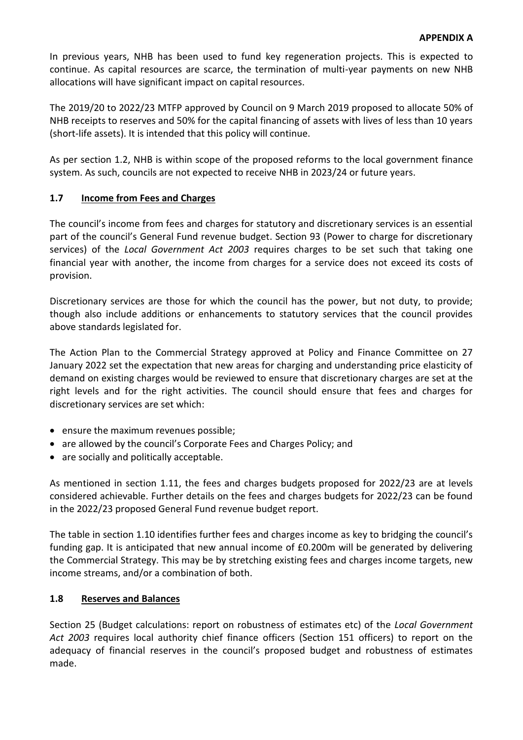In previous years, NHB has been used to fund key regeneration projects. This is expected to continue. As capital resources are scarce, the termination of multi-year payments on new NHB allocations will have significant impact on capital resources.

The 2019/20 to 2022/23 MTFP approved by Council on 9 March 2019 proposed to allocate 50% of NHB receipts to reserves and 50% for the capital financing of assets with lives of less than 10 years (short-life assets). It is intended that this policy will continue.

As per section 1.2, NHB is within scope of the proposed reforms to the local government finance system. As such, councils are not expected to receive NHB in 2023/24 or future years.

# **1.7 Income from Fees and Charges**

The council's income from fees and charges for statutory and discretionary services is an essential part of the council's General Fund revenue budget. Section 93 (Power to charge for discretionary services) of the *Local Government Act 2003* requires charges to be set such that taking one financial year with another, the income from charges for a service does not exceed its costs of provision.

Discretionary services are those for which the council has the power, but not duty, to provide; though also include additions or enhancements to statutory services that the council provides above standards legislated for.

The Action Plan to the Commercial Strategy approved at Policy and Finance Committee on 27 January 2022 set the expectation that new areas for charging and understanding price elasticity of demand on existing charges would be reviewed to ensure that discretionary charges are set at the right levels and for the right activities. The council should ensure that fees and charges for discretionary services are set which:

- ensure the maximum revenues possible;
- are allowed by the council's Corporate Fees and Charges Policy; and
- are socially and politically acceptable.

As mentioned in section 1.11, the fees and charges budgets proposed for 2022/23 are at levels considered achievable. Further details on the fees and charges budgets for 2022/23 can be found in the 2022/23 proposed General Fund revenue budget report.

The table in section 1.10 identifies further fees and charges income as key to bridging the council's funding gap. It is anticipated that new annual income of £0.200m will be generated by delivering the Commercial Strategy. This may be by stretching existing fees and charges income targets, new income streams, and/or a combination of both.

### **1.8 Reserves and Balances**

Section 25 (Budget calculations: report on robustness of estimates etc) of the *Local Government Act 2003* requires local authority chief finance officers (Section 151 officers) to report on the adequacy of financial reserves in the council's proposed budget and robustness of estimates made.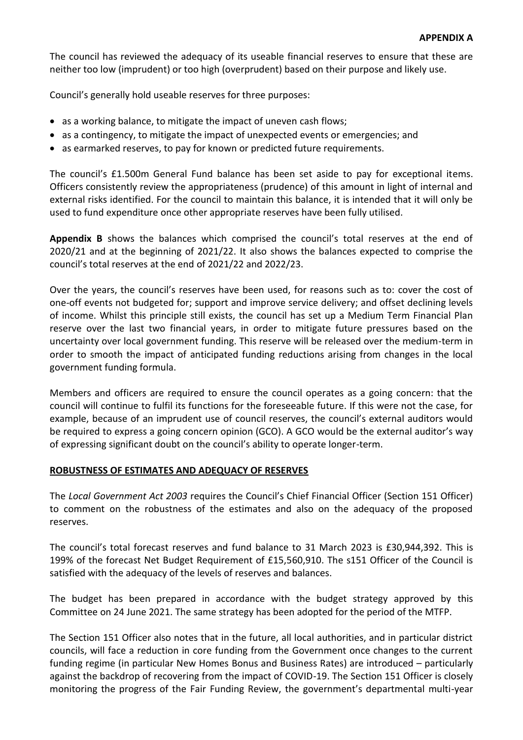The council has reviewed the adequacy of its useable financial reserves to ensure that these are neither too low (imprudent) or too high (overprudent) based on their purpose and likely use.

Council's generally hold useable reserves for three purposes:

- as a working balance, to mitigate the impact of uneven cash flows;
- as a contingency, to mitigate the impact of unexpected events or emergencies; and
- as earmarked reserves, to pay for known or predicted future requirements.

The council's £1.500m General Fund balance has been set aside to pay for exceptional items. Officers consistently review the appropriateness (prudence) of this amount in light of internal and external risks identified. For the council to maintain this balance, it is intended that it will only be used to fund expenditure once other appropriate reserves have been fully utilised.

**Appendix B** shows the balances which comprised the council's total reserves at the end of 2020/21 and at the beginning of 2021/22. It also shows the balances expected to comprise the council's total reserves at the end of 2021/22 and 2022/23.

Over the years, the council's reserves have been used, for reasons such as to: cover the cost of one-off events not budgeted for; support and improve service delivery; and offset declining levels of income. Whilst this principle still exists, the council has set up a Medium Term Financial Plan reserve over the last two financial years, in order to mitigate future pressures based on the uncertainty over local government funding. This reserve will be released over the medium-term in order to smooth the impact of anticipated funding reductions arising from changes in the local government funding formula.

Members and officers are required to ensure the council operates as a going concern: that the council will continue to fulfil its functions for the foreseeable future. If this were not the case, for example, because of an imprudent use of council reserves, the council's external auditors would be required to express a going concern opinion (GCO). A GCO would be the external auditor's way of expressing significant doubt on the council's ability to operate longer-term.

### **ROBUSTNESS OF ESTIMATES AND ADEQUACY OF RESERVES**

The *Local Government Act 2003* requires the Council's Chief Financial Officer (Section 151 Officer) to comment on the robustness of the estimates and also on the adequacy of the proposed reserves.

The council's total forecast reserves and fund balance to 31 March 2023 is £30,944,392. This is 199% of the forecast Net Budget Requirement of £15,560,910. The s151 Officer of the Council is satisfied with the adequacy of the levels of reserves and balances.

The budget has been prepared in accordance with the budget strategy approved by this Committee on 24 June 2021. The same strategy has been adopted for the period of the MTFP.

The Section 151 Officer also notes that in the future, all local authorities, and in particular district councils, will face a reduction in core funding from the Government once changes to the current funding regime (in particular New Homes Bonus and Business Rates) are introduced – particularly against the backdrop of recovering from the impact of COVID-19. The Section 151 Officer is closely monitoring the progress of the Fair Funding Review, the government's departmental multi-year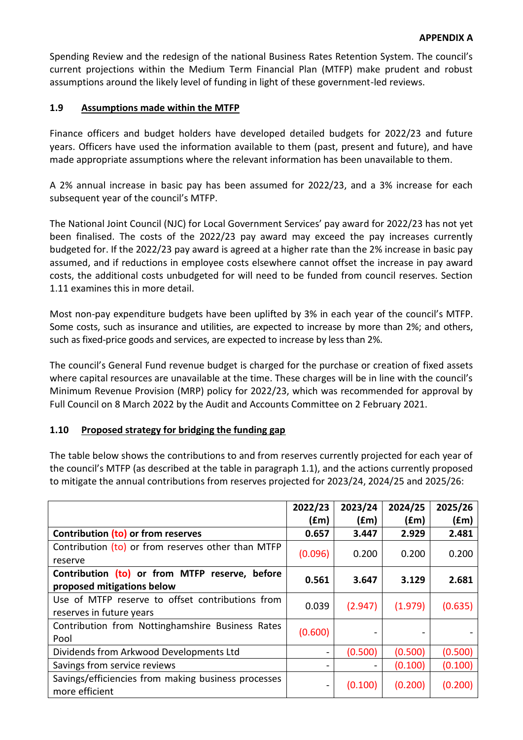Spending Review and the redesign of the national Business Rates Retention System. The council's current projections within the Medium Term Financial Plan (MTFP) make prudent and robust assumptions around the likely level of funding in light of these government-led reviews.

# **1.9 Assumptions made within the MTFP**

Finance officers and budget holders have developed detailed budgets for 2022/23 and future years. Officers have used the information available to them (past, present and future), and have made appropriate assumptions where the relevant information has been unavailable to them.

A 2% annual increase in basic pay has been assumed for 2022/23, and a 3% increase for each subsequent year of the council's MTFP.

The National Joint Council (NJC) for Local Government Services' pay award for 2022/23 has not yet been finalised. The costs of the 2022/23 pay award may exceed the pay increases currently budgeted for. If the 2022/23 pay award is agreed at a higher rate than the 2% increase in basic pay assumed, and if reductions in employee costs elsewhere cannot offset the increase in pay award costs, the additional costs unbudgeted for will need to be funded from council reserves. Section 1.11 examines this in more detail.

Most non-pay expenditure budgets have been uplifted by 3% in each year of the council's MTFP. Some costs, such as insurance and utilities, are expected to increase by more than 2%; and others, such as fixed-price goods and services, are expected to increase by less than 2%.

The council's General Fund revenue budget is charged for the purchase or creation of fixed assets where capital resources are unavailable at the time. These charges will be in line with the council's Minimum Revenue Provision (MRP) policy for 2022/23, which was recommended for approval by Full Council on 8 March 2022 by the Audit and Accounts Committee on 2 February 2021.

### **1.10 Proposed strategy for bridging the funding gap**

The table below shows the contributions to and from reserves currently projected for each year of the council's MTFP (as described at the table in paragraph 1.1), and the actions currently proposed to mitigate the annual contributions from reserves projected for 2023/24, 2024/25 and 2025/26:

|                                                                              | 2022/23<br>f(m) | 2023/24<br>(fm) | 2024/25<br>(£m) | 2025/26<br>(fm) |
|------------------------------------------------------------------------------|-----------------|-----------------|-----------------|-----------------|
| Contribution (to) or from reserves                                           | 0.657           | 3.447           | 2.929           | 2.481           |
| Contribution (to) or from reserves other than MTFP<br>reserve                | (0.096)         | 0.200           | 0.200           | 0.200           |
| Contribution (to) or from MTFP reserve, before<br>proposed mitigations below | 0.561           | 3.647           | 3.129           | 2.681           |
| Use of MTFP reserve to offset contributions from<br>reserves in future years | 0.039           | (2.947)         | (1.979)         | (0.635)         |
| Contribution from Nottinghamshire Business Rates<br>Pool                     | (0.600)         |                 |                 |                 |
| Dividends from Arkwood Developments Ltd                                      |                 | (0.500)         | (0.500)         | (0.500)         |
| Savings from service reviews                                                 |                 |                 | (0.100)         | (0.100)         |
| Savings/efficiencies from making business processes<br>more efficient        |                 | (0.100)         | (0.200)         | (0.200)         |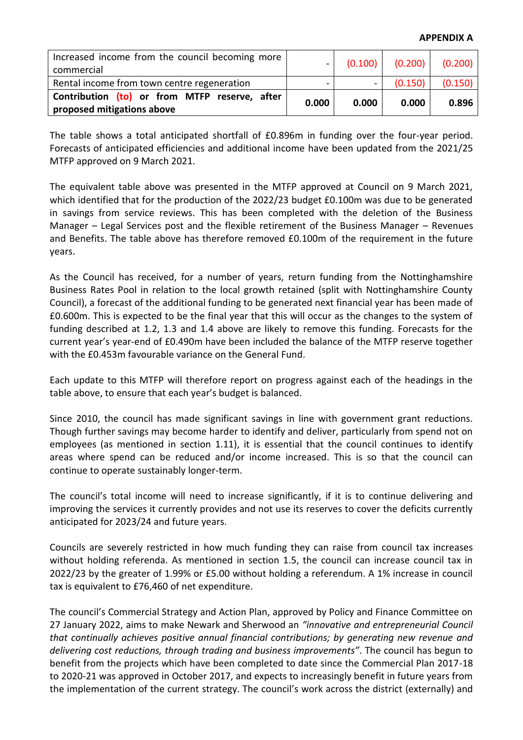| Increased income from the council becoming more<br>commercial               | $\sim$ |       | $(0.100)$ $(0.200)$ $(0.200)$ |         |
|-----------------------------------------------------------------------------|--------|-------|-------------------------------|---------|
| Rental income from town centre regeneration                                 |        |       | (0.150)                       | (0.150) |
| Contribution (to) or from MTFP reserve, after<br>proposed mitigations above | 0.000  | 0.000 | 0.000                         | 0.896   |

The table shows a total anticipated shortfall of £0.896m in funding over the four-year period. Forecasts of anticipated efficiencies and additional income have been updated from the 2021/25 MTFP approved on 9 March 2021.

The equivalent table above was presented in the MTFP approved at Council on 9 March 2021, which identified that for the production of the 2022/23 budget £0.100m was due to be generated in savings from service reviews. This has been completed with the deletion of the Business Manager – Legal Services post and the flexible retirement of the Business Manager – Revenues and Benefits. The table above has therefore removed £0.100m of the requirement in the future years.

As the Council has received, for a number of years, return funding from the Nottinghamshire Business Rates Pool in relation to the local growth retained (split with Nottinghamshire County Council), a forecast of the additional funding to be generated next financial year has been made of £0.600m. This is expected to be the final year that this will occur as the changes to the system of funding described at 1.2, 1.3 and 1.4 above are likely to remove this funding. Forecasts for the current year's year-end of £0.490m have been included the balance of the MTFP reserve together with the £0.453m favourable variance on the General Fund.

Each update to this MTFP will therefore report on progress against each of the headings in the table above, to ensure that each year's budget is balanced.

Since 2010, the council has made significant savings in line with government grant reductions. Though further savings may become harder to identify and deliver, particularly from spend not on employees (as mentioned in section 1.11), it is essential that the council continues to identify areas where spend can be reduced and/or income increased. This is so that the council can continue to operate sustainably longer-term.

The council's total income will need to increase significantly, if it is to continue delivering and improving the services it currently provides and not use its reserves to cover the deficits currently anticipated for 2023/24 and future years.

Councils are severely restricted in how much funding they can raise from council tax increases without holding referenda. As mentioned in section 1.5, the council can increase council tax in 2022/23 by the greater of 1.99% or £5.00 without holding a referendum. A 1% increase in council tax is equivalent to £76,460 of net expenditure.

The council's Commercial Strategy and Action Plan, approved by Policy and Finance Committee on 27 January 2022, aims to make Newark and Sherwood an *"innovative and entrepreneurial Council that continually achieves positive annual financial contributions; by generating new revenue and delivering cost reductions, through trading and business improvements"*. The council has begun to benefit from the projects which have been completed to date since the Commercial Plan 2017-18 to 2020-21 was approved in October 2017, and expects to increasingly benefit in future years from the implementation of the current strategy. The council's work across the district (externally) and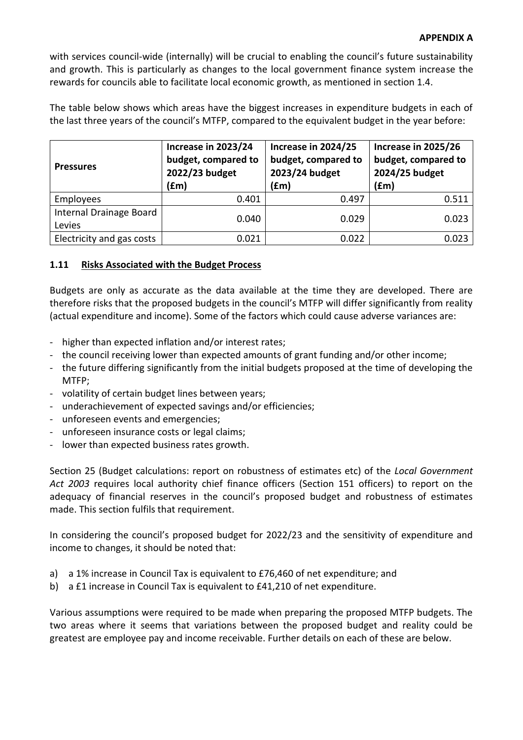### **APPENDIX A**

with services council-wide (internally) will be crucial to enabling the council's future sustainability and growth. This is particularly as changes to the local government finance system increase the rewards for councils able to facilitate local economic growth, as mentioned in section 1.4.

The table below shows which areas have the biggest increases in expenditure budgets in each of the last three years of the council's MTFP, compared to the equivalent budget in the year before:

| <b>Pressures</b>                  | Increase in 2023/24<br>budget, compared to<br>2022/23 budget<br>(£m) | Increase in 2024/25<br>budget, compared to<br>2023/24 budget<br>(fm) | Increase in 2025/26<br>budget, compared to<br>2024/25 budget<br>(fm) |
|-----------------------------------|----------------------------------------------------------------------|----------------------------------------------------------------------|----------------------------------------------------------------------|
| Employees                         | 0.401                                                                | 0.497                                                                | 0.511                                                                |
| Internal Drainage Board<br>Levies | 0.040                                                                | 0.029                                                                | 0.023                                                                |
| Electricity and gas costs         | 0.021                                                                | 0.022                                                                | 0.023                                                                |

### **1.11 Risks Associated with the Budget Process**

Budgets are only as accurate as the data available at the time they are developed. There are therefore risks that the proposed budgets in the council's MTFP will differ significantly from reality (actual expenditure and income). Some of the factors which could cause adverse variances are:

- higher than expected inflation and/or interest rates;
- the council receiving lower than expected amounts of grant funding and/or other income;
- the future differing significantly from the initial budgets proposed at the time of developing the MTFP;
- volatility of certain budget lines between years;
- underachievement of expected savings and/or efficiencies;
- unforeseen events and emergencies;
- unforeseen insurance costs or legal claims;
- lower than expected business rates growth.

Section 25 (Budget calculations: report on robustness of estimates etc) of the *Local Government Act 2003* requires local authority chief finance officers (Section 151 officers) to report on the adequacy of financial reserves in the council's proposed budget and robustness of estimates made. This section fulfils that requirement.

In considering the council's proposed budget for 2022/23 and the sensitivity of expenditure and income to changes, it should be noted that:

- a) a 1% increase in Council Tax is equivalent to £76,460 of net expenditure; and
- b) a £1 increase in Council Tax is equivalent to £41,210 of net expenditure.

Various assumptions were required to be made when preparing the proposed MTFP budgets. The two areas where it seems that variations between the proposed budget and reality could be greatest are employee pay and income receivable. Further details on each of these are below.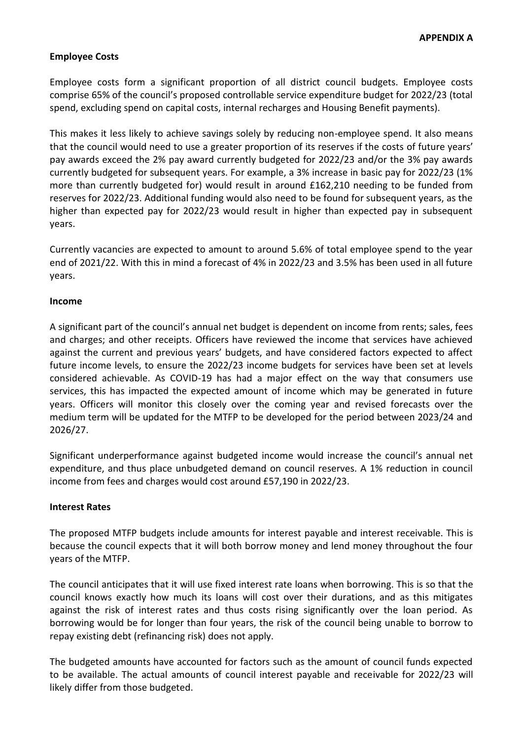# **Employee Costs**

Employee costs form a significant proportion of all district council budgets. Employee costs comprise 65% of the council's proposed controllable service expenditure budget for 2022/23 (total spend, excluding spend on capital costs, internal recharges and Housing Benefit payments).

This makes it less likely to achieve savings solely by reducing non-employee spend. It also means that the council would need to use a greater proportion of its reserves if the costs of future years' pay awards exceed the 2% pay award currently budgeted for 2022/23 and/or the 3% pay awards currently budgeted for subsequent years. For example, a 3% increase in basic pay for 2022/23 (1% more than currently budgeted for) would result in around £162,210 needing to be funded from reserves for 2022/23. Additional funding would also need to be found for subsequent years, as the higher than expected pay for 2022/23 would result in higher than expected pay in subsequent years.

Currently vacancies are expected to amount to around 5.6% of total employee spend to the year end of 2021/22. With this in mind a forecast of 4% in 2022/23 and 3.5% has been used in all future years.

### **Income**

A significant part of the council's annual net budget is dependent on income from rents; sales, fees and charges; and other receipts. Officers have reviewed the income that services have achieved against the current and previous years' budgets, and have considered factors expected to affect future income levels, to ensure the 2022/23 income budgets for services have been set at levels considered achievable. As COVID-19 has had a major effect on the way that consumers use services, this has impacted the expected amount of income which may be generated in future years. Officers will monitor this closely over the coming year and revised forecasts over the medium term will be updated for the MTFP to be developed for the period between 2023/24 and 2026/27.

Significant underperformance against budgeted income would increase the council's annual net expenditure, and thus place unbudgeted demand on council reserves. A 1% reduction in council income from fees and charges would cost around £57,190 in 2022/23.

### **Interest Rates**

The proposed MTFP budgets include amounts for interest payable and interest receivable. This is because the council expects that it will both borrow money and lend money throughout the four years of the MTFP.

The council anticipates that it will use fixed interest rate loans when borrowing. This is so that the council knows exactly how much its loans will cost over their durations, and as this mitigates against the risk of interest rates and thus costs rising significantly over the loan period. As borrowing would be for longer than four years, the risk of the council being unable to borrow to repay existing debt (refinancing risk) does not apply.

The budgeted amounts have accounted for factors such as the amount of council funds expected to be available. The actual amounts of council interest payable and receivable for 2022/23 will likely differ from those budgeted.